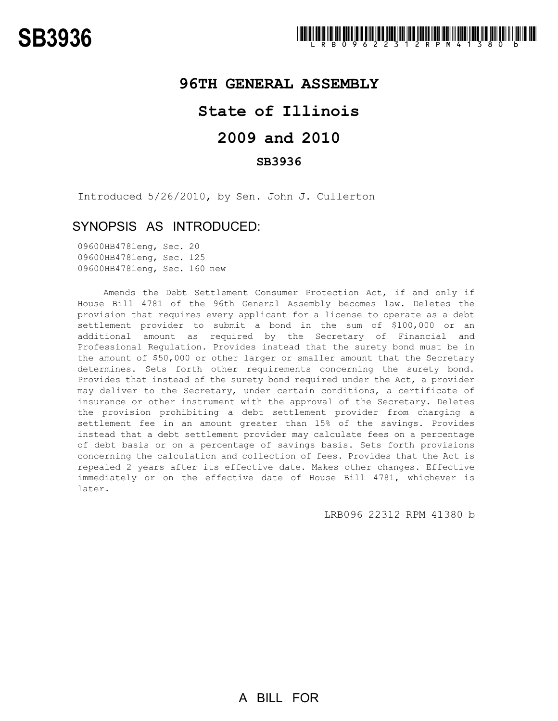### **96TH GENERAL ASSEMBLY**

## **State of Illinois**

# **2009 and 2010**

#### **SB3936**

Introduced 5/26/2010, by Sen. John J. Cullerton

### SYNOPSIS AS INTRODUCED:

09600HB4781eng, Sec. 20 09600HB4781eng, Sec. 125 09600HB4781eng, Sec. 160 new

Amends the Debt Settlement Consumer Protection Act, if and only if House Bill 4781 of the 96th General Assembly becomes law. Deletes the provision that requires every applicant for a license to operate as a debt settlement provider to submit a bond in the sum of \$100,000 or an additional amount as required by the Secretary of Financial and Professional Regulation. Provides instead that the surety bond must be in the amount of \$50,000 or other larger or smaller amount that the Secretary determines. Sets forth other requirements concerning the surety bond. Provides that instead of the surety bond required under the Act, a provider may deliver to the Secretary, under certain conditions, a certificate of insurance or other instrument with the approval of the Secretary. Deletes the provision prohibiting a debt settlement provider from charging a settlement fee in an amount greater than 15% of the savings. Provides instead that a debt settlement provider may calculate fees on a percentage of debt basis or on a percentage of savings basis. Sets forth provisions concerning the calculation and collection of fees. Provides that the Act is repealed 2 years after its effective date. Makes other changes. Effective immediately or on the effective date of House Bill 4781, whichever is later.

LRB096 22312 RPM 41380 b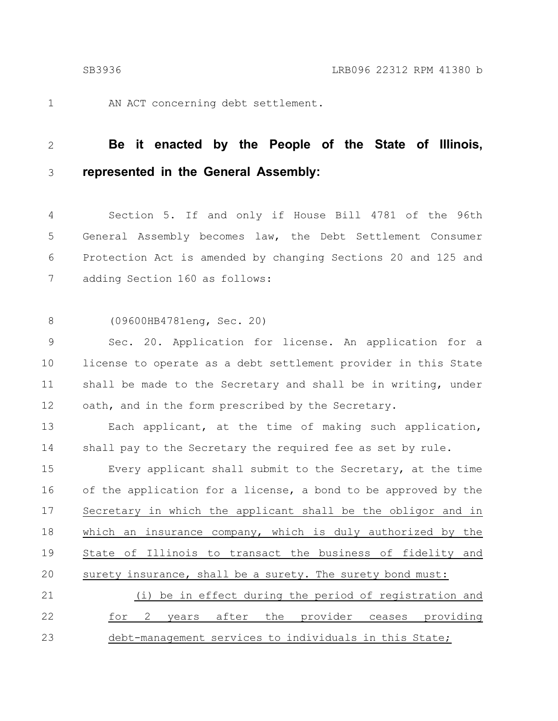1

AN ACT concerning debt settlement.

#### **Be it enacted by the People of the State of Illinois, represented in the General Assembly:** 2 3

Section 5. If and only if House Bill 4781 of the 96th General Assembly becomes law, the Debt Settlement Consumer Protection Act is amended by changing Sections 20 and 125 and adding Section 160 as follows: 4 5 6 7

(09600HB4781eng, Sec. 20) 8

Sec. 20. Application for license. An application for a license to operate as a debt settlement provider in this State shall be made to the Secretary and shall be in writing, under oath, and in the form prescribed by the Secretary. 9 10 11 12

Each applicant, at the time of making such application, shall pay to the Secretary the required fee as set by rule. 13 14

Every applicant shall submit to the Secretary, at the time of the application for a license, a bond to be approved by the Secretary in which the applicant shall be the obligor and in which an insurance company, which is duly authorized by the State of Illinois to transact the business of fidelity and surety insurance, shall be a surety. The surety bond must: 15 16 17 18 19 20

(i) be in effect during the period of registration and for 2 years after the provider ceases providing debt-management services to individuals in this State; 21 22 23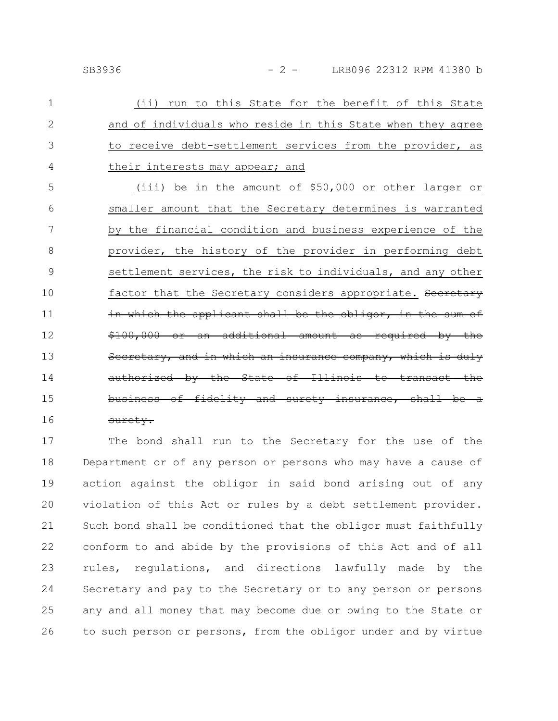| $\mathbf 1$    | (ii) run to this State for the benefit of this State        |
|----------------|-------------------------------------------------------------|
| $\overline{2}$ | and of individuals who reside in this State when they agree |
| 3              | to receive debt-settlement services from the provider, as   |
| 4              | their interests may appear; and                             |
| 5              | (iii) be in the amount of \$50,000 or other larger or       |
| 6              | smaller amount that the Secretary determines is warranted   |
| 7              | by the financial condition and business experience of the   |
| 8              | provider, the history of the provider in performing debt    |
| 9              | settlement services, the risk to individuals, and any other |
| 10             | factor that the Secretary considers appropriate. Secretary  |
| 11             | in which the applicant shall be the obligor, in the sum of  |
| 12             | \$100,000 or an additional amount as required by the        |
| 13             | Secretary, and in which an insurance company, which is duly |
| 14             | authorized by the State of Illinois to transact the         |
| 15             | business of fidelity and surety insurance, shall be a       |
| 16             | <del>suretv.</del>                                          |

The bond shall run to the Secretary for the use of the Department or of any person or persons who may have a cause of action against the obligor in said bond arising out of any violation of this Act or rules by a debt settlement provider. Such bond shall be conditioned that the obligor must faithfully conform to and abide by the provisions of this Act and of all rules, regulations, and directions lawfully made by the Secretary and pay to the Secretary or to any person or persons any and all money that may become due or owing to the State or to such person or persons, from the obligor under and by virtue 17 18 19 20 21 22 23 24 25 26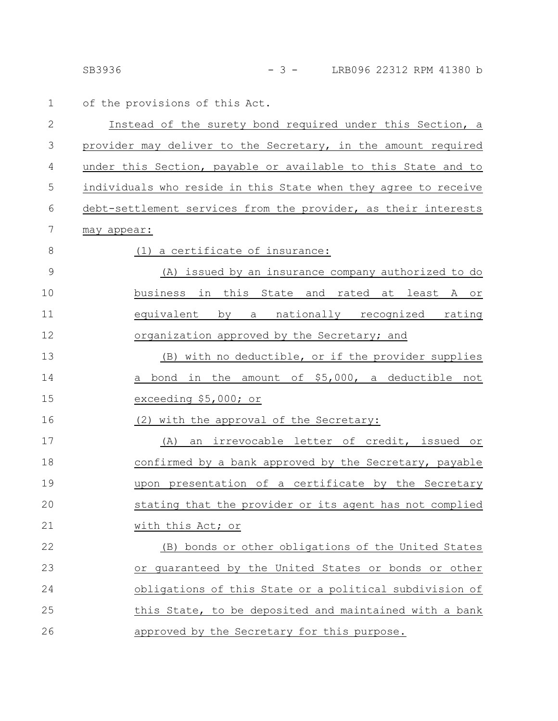SB3936 - 3 - LRB096 22312 RPM 41380 b

1 of the provisions of this Act.

| $\mathbf{2}$   | Instead of the surety bond required under this Section, a       |
|----------------|-----------------------------------------------------------------|
| 3              | provider may deliver to the Secretary, in the amount required   |
| 4              | under this Section, payable or available to this State and to   |
| 5              | individuals who reside in this State when they agree to receive |
| 6              | debt-settlement services from the provider, as their interests  |
| 7              | may appear:                                                     |
| 8              | (1) a certificate of insurance:                                 |
| $\overline{9}$ | (A) issued by an insurance company authorized to do             |
| 10             | business in this State and rated at least A or                  |
| 11             | equivalent by a nationally recognized rating                    |
| 12             | organization approved by the Secretary; and                     |
| 13             | (B) with no deductible, or if the provider supplies             |
| 14             | bond in the amount of \$5,000, a deductible not<br>a            |
| 15             | exceeding \$5,000; or                                           |
| 16             | (2) with the approval of the Secretary:                         |
| 17             | an irrevocable letter of credit, issued or<br>(A)               |
| 18             | confirmed by a bank approved by the Secretary, payable          |
| 19             | upon presentation of a certificate by the Secretary             |
| 20             | stating that the provider or its agent has not complied         |
| 21             | with this Act; or                                               |
| 22             | (B) bonds or other obligations of the United States             |
| 23             | or quaranteed by the United States or bonds or other            |
| 24             | obligations of this State or a political subdivision of         |
| 25             | this State, to be deposited and maintained with a bank          |
| 26             | approved by the Secretary for this purpose.                     |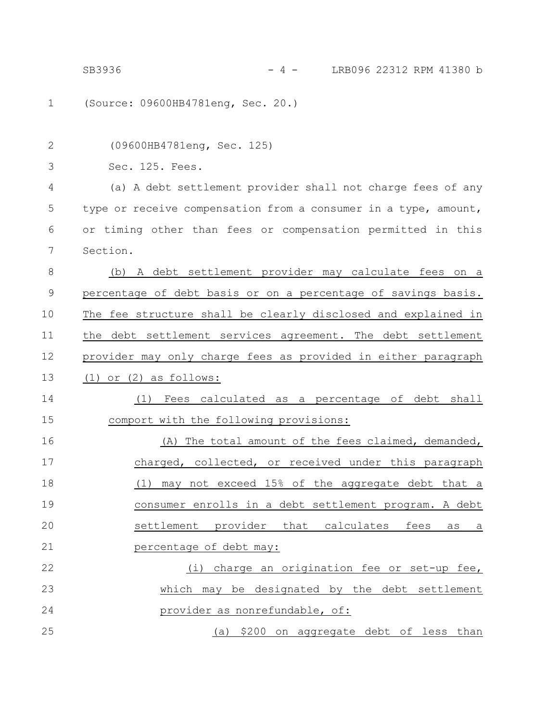SB3936 - 4 - LRB096 22312 RPM 41380 b

(Source: 09600HB4781eng, Sec. 20.) (09600HB4781eng, Sec. 125) Sec. 125. Fees. (a) A debt settlement provider shall not charge fees of any type or receive compensation from a consumer in a type, amount, or timing other than fees or compensation permitted in this Section. (b) A debt settlement provider may calculate fees on a percentage of debt basis or on a percentage of savings basis. The fee structure shall be clearly disclosed and explained in the debt settlement services agreement. The debt settlement provider may only charge fees as provided in either paragraph (1) or (2) as follows: (1) Fees calculated as a percentage of debt shall comport with the following provisions: (A) The total amount of the fees claimed, demanded, charged, collected, or received under this paragraph (1) may not exceed 15% of the aggregate debt that a consumer enrolls in a debt settlement program. A debt settlement provider that calculates fees as a percentage of debt may: (i) charge an origination fee or set-up fee, which may be designated by the debt settlement provider as nonrefundable, of: (a) \$200 on aggregate debt of less than 1 2 3 4 5 6 7 8 9 10 11 12 13 14 15 16 17 18 19 20 21 22 23 24 25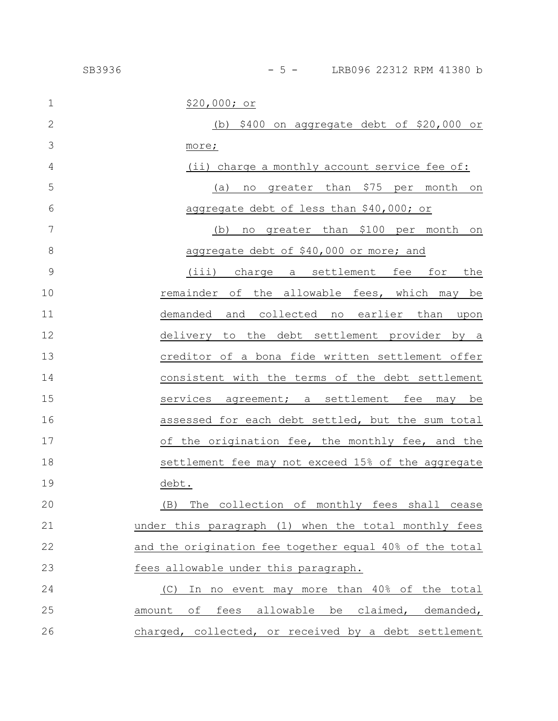| $\mathbf 1$  | \$20,000; or                                            |
|--------------|---------------------------------------------------------|
| $\mathbf{2}$ | (b) $$400$ on aggregate debt of $$20,000$ or            |
| 3            | more;                                                   |
| 4            | (ii) charge a monthly account service fee of:           |
| 5            | no greater than \$75 per month on<br>(a)                |
| 6            | aggregate debt of less than \$40,000; or                |
| 7            | no greater than \$100 per month on<br>(b)               |
| 8            | aggregate debt of \$40,000 or more; and                 |
| 9            | (iii) charge a settlement fee for<br>the                |
| 10           | remainder of the allowable fees, which may be           |
| 11           | demanded and collected no earlier than<br>upon          |
| 12           | delivery to the debt settlement provider by a           |
| 13           | creditor of a bona fide written settlement offer        |
| 14           | consistent with the terms of the debt settlement        |
| 15           | services agreement; a settlement fee may be             |
| 16           | assessed for each debt settled, but the sum total       |
| 17           | of the origination fee, the monthly fee, and the        |
| 18           | settlement fee may not exceed 15% of the aggregate      |
| 19           | debt.                                                   |
| 20           | (B) The collection of monthly fees shall cease          |
| 21           | under this paragraph (1) when the total monthly fees    |
| 22           | and the origination fee together equal 40% of the total |
| 23           | fees allowable under this paragraph.                    |
| 24           | In no event may more than 40% of the total<br>(C)       |
| 25           | amount of fees allowable be claimed, demanded,          |
| 26           | charged, collected, or received by a debt settlement    |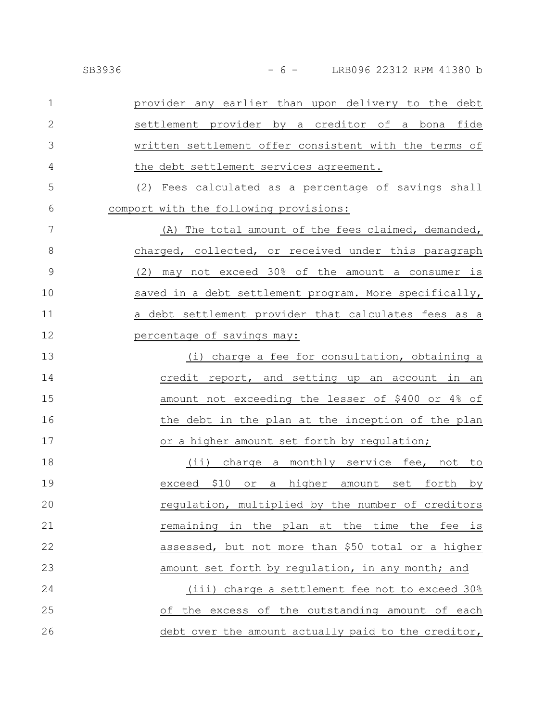| SB3936 |
|--------|
|--------|

provider any earlier than upon delivery to the debt settlement provider by a creditor of a bona fide written settlement offer consistent with the terms of the debt settlement services agreement. 1 2 3 4

(2) Fees calculated as a percentage of savings shall comport with the following provisions: 5 6

(A) The total amount of the fees claimed, demanded, charged, collected, or received under this paragraph (2) may not exceed 30% of the amount a consumer is saved in a debt settlement program. More specifically, a debt settlement provider that calculates fees as a percentage of savings may: 7 8 9 10 11 12

(i) charge a fee for consultation, obtaining a credit report, and setting up an account in an amount not exceeding the lesser of \$400 or 4% of the debt in the plan at the inception of the plan or a higher amount set forth by regulation; 13 14 15 16 17

(ii) charge a monthly service fee, not to exceed \$10 or a higher amount set forth by regulation, multiplied by the number of creditors remaining in the plan at the time the fee is assessed, but not more than \$50 total or a higher amount set forth by regulation, in any month; and (iii) charge a settlement fee not to exceed 30% of the excess of the outstanding amount of each debt over the amount actually paid to the creditor, 18 19 20 21 22 23 24 25 26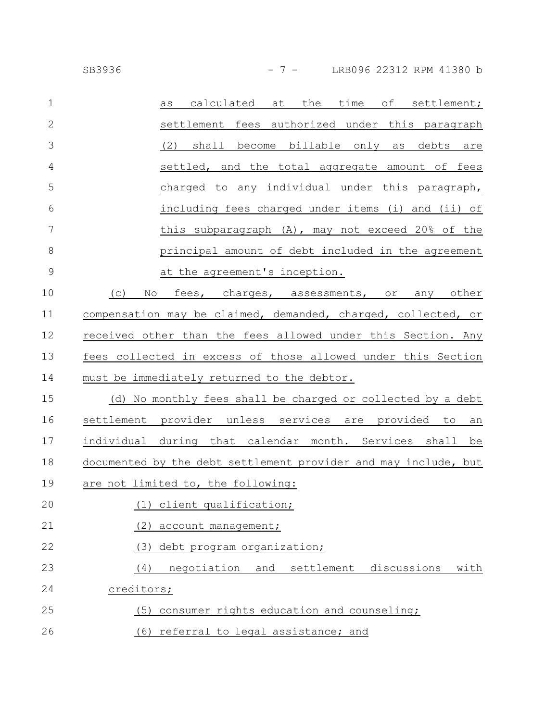| $\mathbf 1$    | time<br>calculated<br>the<br>of settlement;<br>at<br>as         |
|----------------|-----------------------------------------------------------------|
| $\overline{2}$ | settlement fees authorized under this paragraph                 |
| 3              | shall become billable only as<br>(2)<br>debts are               |
| $\overline{4}$ | settled, and the total aggregate amount of fees                 |
| 5              | charged to any individual under this paragraph,                 |
| 6              | including fees charged under items (i) and (ii) of              |
| 7              | this subparagraph (A), may not exceed 20% of the                |
| 8              | principal amount of debt included in the agreement              |
| $\mathcal{G}$  | at the agreement's inception.                                   |
| 10             | (C)<br>No<br>fees, charges, assessments, or<br>any other        |
| 11             | compensation may be claimed, demanded, charged, collected, or   |
| 12             | received other than the fees allowed under this Section. Any    |
| 13             | fees collected in excess of those allowed under this Section    |
| 14             | must be immediately returned to the debtor.                     |
| 15             | (d) No monthly fees shall be charged or collected by a debt     |
| 16             | settlement provider unless services are provided to<br>an       |
| 17             | individual during that calendar month. Services shall be        |
| 18             | documented by the debt settlement provider and may include, but |
| 19             | are not limited to, the following:                              |
| 20             | client qualification;                                           |
| 21             | (2)<br>account management;                                      |
| 22             | debt program organization;<br>(3)                               |
| 23             | and<br>settlement<br>discussions<br>with<br>(4)<br>negotiation  |
| 24             | creditors;                                                      |
| 25             | consumer rights education and counseling;<br>(5)                |
| 26             | (6) referral to legal assistance; and                           |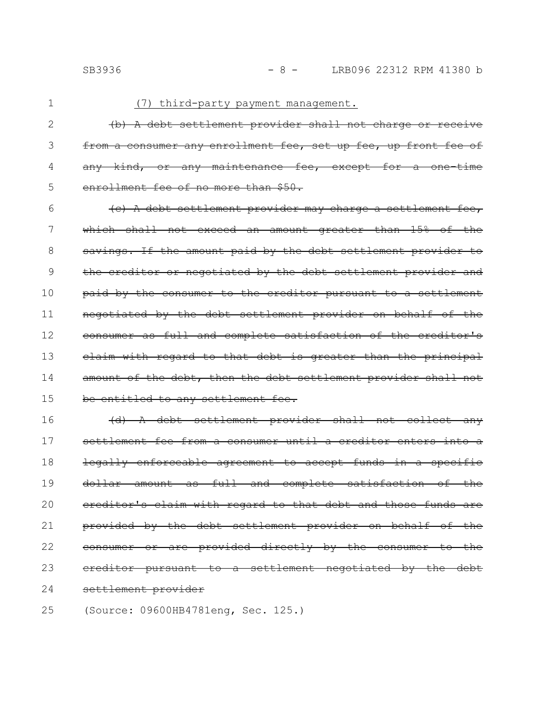1

#### (7) third-party payment management.

(b) A debt settlement provider shall not charge or receive from a consumer any enrollment fee, set up fee, up front any kind, or any maintenance fee, except enrollment fee of no more than \$50. 2 3 4 5

(c) A debt settlement provider may charge a settlement fee, which shall not exceed an amount greater than 15% of the savings. If the amount paid by the debt settlement provider the creditor or negotiated by the debt settlement provider and paid by the consumer to the creditor pursuant to a settlement negotiated by the debt settlement provider on behalf of the consumer as full and complete satisfaction of the creditor's claim with regard to that debt is greater than the principal amount of the debt, then the debt settlement provider shall not be entitled to any settlement fee. 6 7 8 9 10 11 12 13 14 15

(d) A debt settlement provider shall not collect any settlement fee from a consumer until a creditor enters into a legally enforceable agreement to accept funds in a specific dollar amount as full and complete satisfaction of the ereditor's claim with regard to that debt and those funds provided by the debt settlement provider on behalf of the consumer or are provided directly by the consumer to the ereditor pursuant to a settlement negotiated by the settlement provider 16 17 18 19 20 21 22 23 24

(Source: 09600HB4781eng, Sec. 125.) 25